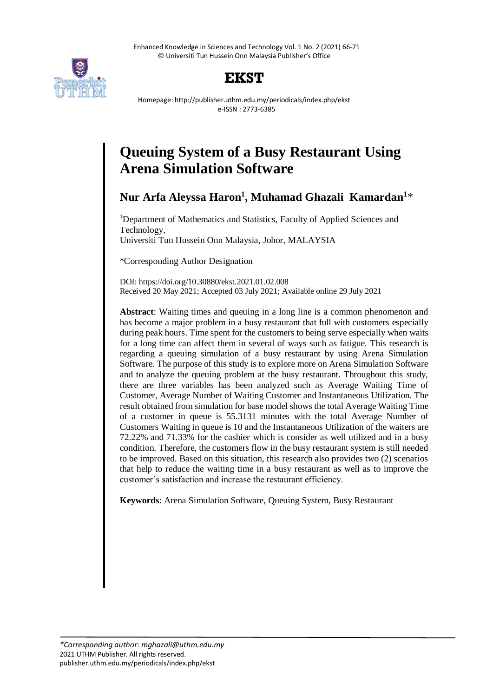Enhanced Knowledge in Sciences and Technology Vol. 1 No. 2 (2021) 66-71 © Universiti Tun Hussein Onn Malaysia Publisher's Office



## **EKST**

Homepage: http://publisher.uthm.edu.my/periodicals/index.php/ekst e-ISSN : 2773-6385

# **Queuing System of a Busy Restaurant Using Arena Simulation Software**

**Nur Arfa Aleyssa Haron<sup>1</sup> , Muhamad Ghazali Kamardan<sup>1</sup>**\*

<sup>1</sup>Department of Mathematics and Statistics, Faculty of Applied Sciences and Technology, Universiti Tun Hussein Onn Malaysia, Johor, MALAYSIA

\*Corresponding Author Designation

DOI: https://doi.org/10.30880/ekst.2021.01.02.008 Received 20 May 2021; Accepted 03 July 2021; Available online 29 July 2021

**Abstract**: Waiting times and queuing in a long line is a common phenomenon and has become a major problem in a busy restaurant that full with customers especially during peak hours. Time spent for the customers to being serve especially when waits for a long time can affect them in several of ways such as fatigue. This research is regarding a queuing simulation of a busy restaurant by using Arena Simulation Software. The purpose of this study is to explore more on Arena Simulation Software and to analyze the queuing problem at the busy restaurant. Throughout this study, there are three variables has been analyzed such as Average Waiting Time of Customer, Average Number of Waiting Customer and Instantaneous Utilization. The result obtained from simulation for base model shows the total Average Waiting Time of a customer in queue is 55.3131 minutes with the total Average Number of Customers Waiting in queue is 10 and the Instantaneous Utilization of the waiters are 72.22% and 71.33% for the cashier which is consider as well utilized and in a busy condition. Therefore, the customers flow in the busy restaurant system is still needed to be improved. Based on this situation, this research also provides two (2) scenarios that help to reduce the waiting time in a busy restaurant as well as to improve the customer's satisfaction and increase the restaurant efficiency.

**Keywords**: Arena Simulation Software, Queuing System, Busy Restaurant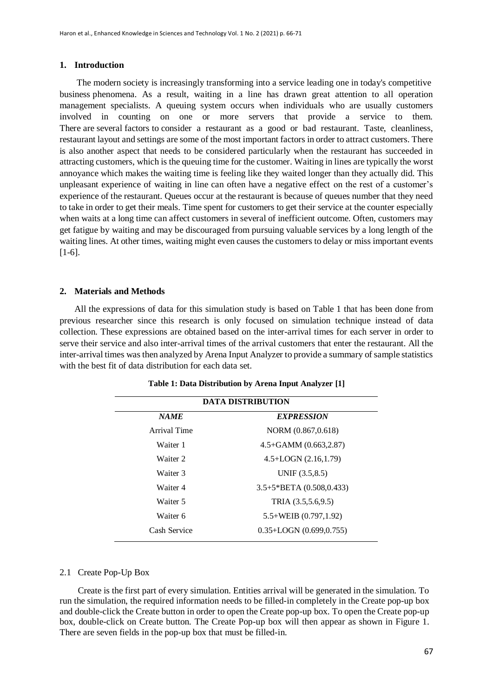## **1. Introduction**

The modern society is increasingly transforming into a service leading one in today's competitive business phenomena. As a result, waiting in a line has drawn great attention to all operation management specialists. A queuing system occurs when individuals who are usually customers involved in counting on one or more servers that provide a service to them. There are several factors to consider a restaurant as a good or bad restaurant. Taste, cleanliness, restaurant layout and settings are some of the most important factors in order to attract customers. There is also another aspect that needs to be considered particularly when the restaurant has succeeded in attracting customers, which is the queuing time for the customer. Waiting in lines are typically the worst annoyance which makes the waiting time is feeling like they waited longer than they actually did. This unpleasant experience of waiting in line can often have a negative effect on the rest of a customer's experience of the restaurant. Queues occur at the restaurant is because of queues number that they need to take in order to get their meals. Time spent for customers to get their service at the counter especially when waits at a long time can affect customers in several of inefficient outcome. Often, customers may get fatigue by waiting and may be discouraged from pursuing valuable services by a long length of the waiting lines. At other times, waiting might even causes the customers to delay or miss important events  $[1-6]$ .

## **2. Materials and Methods**

All the expressions of data for this simulation study is based on Table 1 that has been done from previous researcher since this research is only focused on simulation technique instead of data collection. These expressions are obtained based on the inter-arrival times for each server in order to serve their service and also inter-arrival times of the arrival customers that enter the restaurant. All the inter-arrival times was then analyzed by Arena Input Analyzer to provide a summary of sample statistics with the best fit of data distribution for each data set.

| <b>DATA DISTRIBUTION</b> |                                   |  |  |  |
|--------------------------|-----------------------------------|--|--|--|
| <b>NAME</b>              | <b>EXPRESSION</b>                 |  |  |  |
| Arrival Time             | NORM (0.867,0.618)                |  |  |  |
| Waiter 1                 | $4.5 + GAMM (0.663, 2.87)$        |  |  |  |
| Waiter 2                 | $4.5 + LOGN (2.16, 1.79)$         |  |  |  |
| Waiter 3                 | UNIF $(3.5, 8.5)$                 |  |  |  |
| Waiter 4                 | $3.5+5*BETA(0.508, 0.433)$        |  |  |  |
| Waiter 5                 | TRIA (3.5,5.6,9.5)                |  |  |  |
| Waiter 6                 | $5.5 + \text{WEIB}$ (0.797, 1.92) |  |  |  |
| Cash Service             | $0.35 + LOGN (0.699, 0.755)$      |  |  |  |

**Table 1: Data Distribution by Arena Input Analyzer [1]**

## 2.1 Create Pop-Up Box

 Create is the first part of every simulation. Entities arrival will be generated in the simulation. To run the simulation, the required information needs to be filled-in completely in the Create pop-up box and double-click the Create button in order to open the Create pop-up box. To open the Create pop-up box, double-click on Create button. The Create Pop-up box will then appear as shown in Figure 1. There are seven fields in the pop-up box that must be filled-in.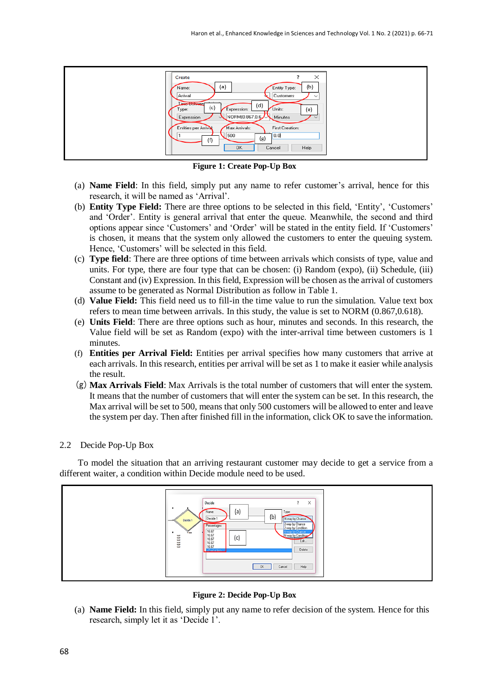

**Figure 1: Create Pop-Up Box**

- (a) **Name Field**: In this field, simply put any name to refer customer's arrival, hence for this research, it will be named as 'Arrival'.
- (b) **Entity Type Field:** There are three options to be selected in this field, 'Entity', 'Customers' and 'Order'. Entity is general arrival that enter the queue. Meanwhile, the second and third options appear since 'Customers' and 'Order' will be stated in the entity field. If 'Customers' is chosen, it means that the system only allowed the customers to enter the queuing system. Hence, 'Customers' will be selected in this field.
- (c) **Type field**: There are three options of time between arrivals which consists of type, value and units. For type, there are four type that can be chosen: (i) Random (expo), (ii) Schedule, (iii) Constant and (iv) Expression. In this field, Expression will be chosen as the arrival of customers assume to be generated as Normal Distribution as follow in Table 1.
- (d) **Value Field:** This field need us to fill-in the time value to run the simulation. Value text box refers to mean time between arrivals. In this study, the value is set to NORM (0.867,0.618).
- (e) **Units Field**: There are three options such as hour, minutes and seconds. In this research, the Value field will be set as Random (expo) with the inter-arrival time between customers is 1 minutes.
- (f) **Entities per Arrival Field:** Entities per arrival specifies how many customers that arrive at each arrivals. In this research, entities per arrival will be set as 1 to make it easier while analysis the result.
- (g)**Max Arrivals Field**: Max Arrivals is the total number of customers that will enter the system. It means that the number of customers that will enter the system can be set. In this research, the Max arrival will be set to 500, means that only 500 customers will be allowed to enter and leave the system per day. Then after finished fill in the information, click OK to save the information.

## 2.2 Decide Pop-Up Box

 To model the situation that an arriving restaurant customer may decide to get a service from a different waiter, a condition within Decide module need to be used.



**Figure 2: Decide Pop-Up Box**

(a) **Name Field:** In this field, simply put any name to refer decision of the system. Hence for this research, simply let it as 'Decide 1'.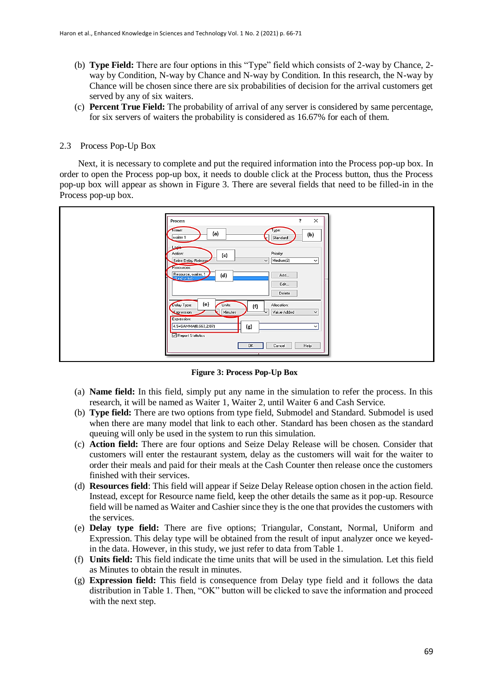- (b) **Type Field:** There are four options in this "Type" field which consists of 2-way by Chance, 2 way by Condition, N-way by Chance and N-way by Condition. In this research, the N-way by Chance will be chosen since there are six probabilities of decision for the arrival customers get served by any of six waiters.
- (c) **Percent True Field:** The probability of arrival of any server is considered by same percentage, for six servers of waiters the probability is considered as 16.67% for each of them.

## 2.3 Process Pop-Up Box

 Next, it is necessary to complete and put the required information into the Process pop-up box. In order to open the Process pop-up box, it needs to double click at the Process button, thus the Process pop-up box will appear as shown in Figure 3. There are several fields that need to be filled-in in the Process pop-up box.

| $\times$<br>$\overline{\mathbf{?}}$<br>Process                                                                                                                           |  |
|--------------------------------------------------------------------------------------------------------------------------------------------------------------------------|--|
| lype:<br>Name:<br>(a)<br>(b)<br>waiter 1<br>Standard                                                                                                                     |  |
| Logie<br>Priority:<br>Action:<br>(c)<br>$\vee$ Medium(2)<br>Seize Delay Release<br>$\check{~}$                                                                           |  |
| Resources:<br>Resource, waiter, 1<br>(d)<br>Add<br><end list="" of=""><br/>Edit<br/>Delete</end>                                                                         |  |
| (e)<br>Delay Type:<br>Units:<br>Allocation:<br>(f)<br>Minutes<br>Value Added<br>Expression<br>$\check{~}$<br>Expression:<br>4.5+GAMMA(0.663,2.87)<br>(g)<br>$\checkmark$ |  |
| Report Statistics<br><b>OK</b><br>Cancel<br>Help                                                                                                                         |  |

**Figure 3: Process Pop-Up Box**

- (a) **Name field:** In this field, simply put any name in the simulation to refer the process. In this research, it will be named as Waiter 1, Waiter 2, until Waiter 6 and Cash Service.
- (b) **Type field:** There are two options from type field, Submodel and Standard. Submodel is used when there are many model that link to each other. Standard has been chosen as the standard queuing will only be used in the system to run this simulation.
- (c) **Action field:** There are four options and Seize Delay Release will be chosen. Consider that customers will enter the restaurant system, delay as the customers will wait for the waiter to order their meals and paid for their meals at the Cash Counter then release once the customers finished with their services.
- (d) **Resources field**: This field will appear if Seize Delay Release option chosen in the action field. Instead, except for Resource name field, keep the other details the same as it pop-up. Resource field will be named as Waiter and Cashier since they is the one that provides the customers with the services.
- (e) **Delay type field:** There are five options; Triangular, Constant, Normal, Uniform and Expression. This delay type will be obtained from the result of input analyzer once we keyedin the data. However, in this study, we just refer to data from Table 1.
- (f) **Units field:** This field indicate the time units that will be used in the simulation. Let this field as Minutes to obtain the result in minutes.
- (g) **Expression field:** This field is consequence from Delay type field and it follows the data distribution in Table 1. Then, "OK" button will be clicked to save the information and proceed with the next step.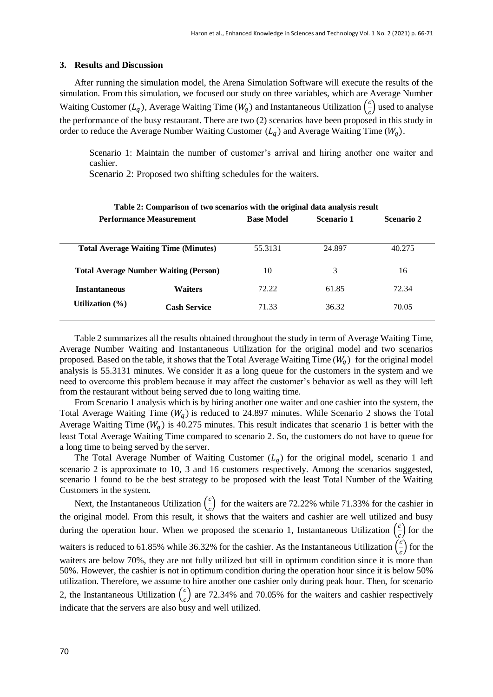## **3. Results and Discussion**

After running the simulation model, the Arena Simulation Software will execute the results of the simulation. From this simulation, we focused our study on three variables, which are Average Number Waiting Customer  $(L_q)$ , Average Waiting Time  $(W_q)$  and Instantaneous Utilization  $\begin{pmatrix} \vec{c} \\ \vec{c} \end{pmatrix}$  $\frac{c}{c}$ ) used to analyse the performance of the busy restaurant. There are two (2) scenarios have been proposed in this study in order to reduce the Average Number Waiting Customer  $(L_q)$  and Average Waiting Time  $(W_q)$ .

Scenario 1: Maintain the number of customer's arrival and hiring another one waiter and cashier.

Scenario 2: Proposed two shifting schedules for the waiters.

from the restaurant without being served due to long waiting time.

| Table 2: Comparison of two scenarios with the original data analysis result |                                              |                   |            |            |  |  |
|-----------------------------------------------------------------------------|----------------------------------------------|-------------------|------------|------------|--|--|
| <b>Performance Measurement</b>                                              |                                              | <b>Base Model</b> | Scenario 1 | Scenario 2 |  |  |
|                                                                             |                                              |                   |            |            |  |  |
|                                                                             | <b>Total Average Waiting Time (Minutes)</b>  | 55.3131           | 24.897     | 40.275     |  |  |
|                                                                             | <b>Total Average Number Waiting (Person)</b> | 10                | 3          | 16         |  |  |
| <b>Instantaneous</b>                                                        | <b>Waiters</b>                               | 72.22             | 61.85      | 72.34      |  |  |
| Utilization $(\% )$                                                         | <b>Cash Service</b>                          | 71.33             | 36.32      | 70.05      |  |  |
|                                                                             |                                              |                   |            |            |  |  |

Table 2 summarizes all the results obtained throughout the study in term of Average Waiting Time, Average Number Waiting and Instantaneous Utilization for the original model and two scenarios proposed. Based on the table, it shows that the Total Average Waiting Time  $(W<sub>a</sub>)$  for the original model analysis is 55.3131 minutes. We consider it as a long queue for the customers in the system and we need to overcome this problem because it may affect the customer's behavior as well as they will left

From Scenario 1 analysis which is by hiring another one waiter and one cashier into the system, the Total Average Waiting Time  $(W_q)$  is reduced to 24.897 minutes. While Scenario 2 shows the Total Average Waiting Time ( $W_a$ ) is 40.275 minutes. This result indicates that scenario 1 is better with the least Total Average Waiting Time compared to scenario 2. So, the customers do not have to queue for a long time to being served by the server.

The Total Average Number of Waiting Customer  $(L_q)$  for the original model, scenario 1 and scenario 2 is approximate to 10, 3 and 16 customers respectively. Among the scenarios suggested, scenario 1 found to be the best strategy to be proposed with the least Total Number of the Waiting Customers in the system.

Next, the Instantaneous Utilization  $\left(\frac{\vec{c}}{c}\right)$  $\frac{c}{c}$ ) for the waiters are 72.22% while 71.33% for the cashier in the original model. From this result, it shows that the waiters and cashier are well utilized and busy during the operation hour. When we proposed the scenario 1, Instantaneous Utilization  $(\frac{\vec{c}}{2})$  $\frac{c}{c}$ ) for the waiters is reduced to 61.85% while 36.32% for the cashier. As the Instantaneous Utilization  $(\frac{\vec{c}}{2})$  $\frac{c}{c}$ ) for the waiters are below 70%, they are not fully utilized but still in optimum condition since it is more than 50%. However, the cashier is not in optimum condition during the operation hour since it is below 50% utilization. Therefore, we assume to hire another one cashier only during peak hour. Then, for scenario 2, the Instantaneous Utilization  $\left(\frac{\vec{c}}{2}\right)$  $\frac{c}{c}$ ) are 72.34% and 70.05% for the waiters and cashier respectively indicate that the servers are also busy and well utilized.